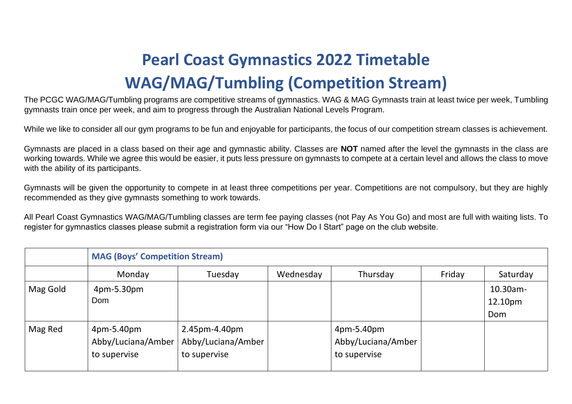## **Pearl Coast Gymnastics 2022 Timetable WAG/MAG/Tumbling (Competition Stream)**

The PCGC WAG/MAG/Tumbling programs are competitive streams of gymnastics. WAG & MAG Gymnasts train at least twice per week, Tumbling gymnasts train once per week, and aim to progress through the Australian National Levels Program.

While we like to consider all our gym programs to be fun and enjoyable for participants, the focus of our competition stream classes is achievement.

Gymnasts are placed in a class based on their age and gymnastic ability. Classes are **NOT** named after the level the gymnasts in the class are working towards. While we agree this would be easier, it puts less pressure on gymnasts to compete at a certain level and allows the class to move with the ability of its participants.

Gymnasts will be given the opportunity to compete in at least three competitions per year. Competitions are not compulsory, but they are highly recommended as they give gymnasts something to work towards.

All Pearl Coast Gymnastics WAG/MAG/Tumbling classes are term fee paying classes (not Pay As You Go) and most are full with waiting lists. To register for gymnastics classes please submit a registration form via our "How Do I Start" page on the club website.

|          | <b>MAG (Boys' Competition Stream)</b>            |                                                     |           |                                                  |        |                            |  |  |
|----------|--------------------------------------------------|-----------------------------------------------------|-----------|--------------------------------------------------|--------|----------------------------|--|--|
|          | Monday                                           | Tuesday                                             | Wednesday | Thursday                                         | Friday | Saturday                   |  |  |
| Mag Gold | 4pm-5.30pm<br>Dom                                |                                                     |           |                                                  |        | 10.30am-<br>12.10pm<br>Dom |  |  |
| Mag Red  | 4pm-5.40pm<br>Abby/Luciana/Amber<br>to supervise | 2.45pm-4.40pm<br>Abby/Luciana/Amber<br>to supervise |           | 4pm-5.40pm<br>Abby/Luciana/Amber<br>to supervise |        |                            |  |  |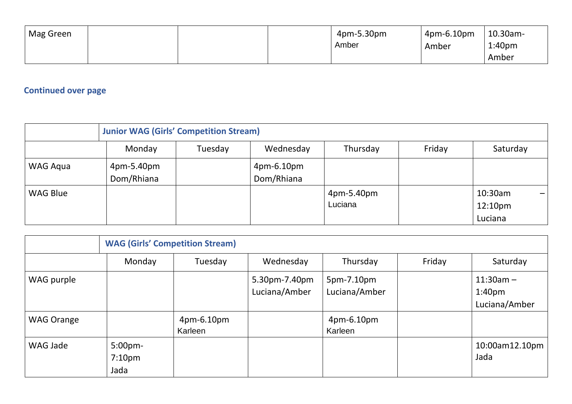| Mag Green |  | 4pm-5.30pm | $4$ pm-6.10pm | $\pm$ 10.30am-     |
|-----------|--|------------|---------------|--------------------|
|           |  | Amber      | Amber         | 1:40 <sub>pm</sub> |
|           |  |            |               | Amber              |

## **Continued over page**

|          | <b>Junior WAG (Girls' Competition Stream)</b> |         |                          |                       |        |                                           |  |
|----------|-----------------------------------------------|---------|--------------------------|-----------------------|--------|-------------------------------------------|--|
|          | Monday                                        | Tuesday | Wednesday                | Thursday              | Friday | Saturday                                  |  |
| WAG Aqua | 4pm-5.40pm<br>Dom/Rhiana                      |         | 4pm-6.10pm<br>Dom/Rhiana |                       |        |                                           |  |
| WAG Blue |                                               |         |                          | 4pm-5.40pm<br>Luciana |        | 10:30am<br>12:10 <sub>pm</sub><br>Luciana |  |

|                   | <b>WAG (Girls' Competition Stream)</b> |                       |                                |                             |        |                                                    |  |  |
|-------------------|----------------------------------------|-----------------------|--------------------------------|-----------------------------|--------|----------------------------------------------------|--|--|
|                   | Monday                                 | Tuesday               | Wednesday                      | Thursday                    | Friday | Saturday                                           |  |  |
| WAG purple        |                                        |                       | 5.30pm-7.40pm<br>Luciana/Amber | 5pm-7.10pm<br>Luciana/Amber |        | $11:30am -$<br>1:40 <sub>pm</sub><br>Luciana/Amber |  |  |
| <b>WAG Orange</b> |                                        | 4pm-6.10pm<br>Karleen |                                | 4pm-6.10pm<br>Karleen       |        |                                                    |  |  |
| WAG Jade          | 5:00pm-<br>7:10 <sub>pm</sub><br>Jada  |                       |                                |                             |        | 10:00am12.10pm<br>Jada                             |  |  |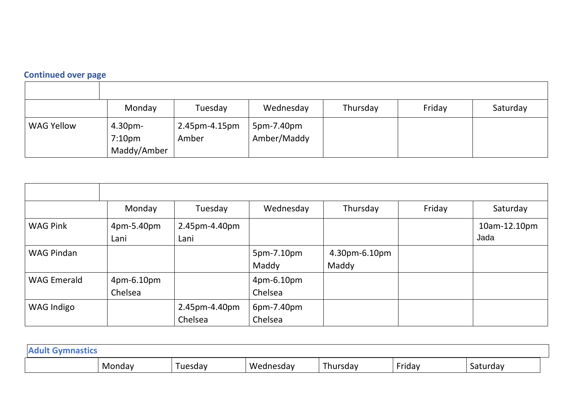## **Continued over page**

|                                                      | Monday<br>Tuesday                     | Wednesday                 | Thursday | Friday | Saturday |
|------------------------------------------------------|---------------------------------------|---------------------------|----------|--------|----------|
| <b>WAG Yellow</b><br>$4.30pm-$<br>7:10 <sub>pm</sub> | 2.45pm-4.15pm<br>Amber<br>Maddy/Amber | 5pm-7.40pm<br>Amber/Maddy |          |        |          |

|                    | Monday                | Tuesday                  | Wednesday             | Thursday               | Friday | Saturday             |
|--------------------|-----------------------|--------------------------|-----------------------|------------------------|--------|----------------------|
| <b>WAG Pink</b>    | 4pm-5.40pm<br>Lani    | 2.45pm-4.40pm<br>Lani    |                       |                        |        | 10am-12.10pm<br>Jada |
| <b>WAG Pindan</b>  |                       |                          | 5pm-7.10pm<br>Maddy   | 4.30pm-6.10pm<br>Maddy |        |                      |
| <b>WAG Emerald</b> | 4pm-6.10pm<br>Chelsea |                          | 4pm-6.10pm<br>Chelsea |                        |        |                      |
| <b>WAG Indigo</b>  |                       | 2.45pm-4.40pm<br>Chelsea | 6pm-7.40pm<br>Chelsea |                        |        |                      |

| <b>Aduly</b><br>ISLILS |        |        |           |                       |        |          |  |
|------------------------|--------|--------|-----------|-----------------------|--------|----------|--|
|                        | Mondav | uesday | Wednesday | -<br>ırsday<br>11 I U | Friday | Saturday |  |